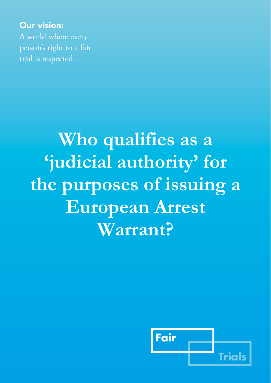**Our vision:** A world where every person's right to a fair trial is respected.

# **Who qualifies as a 'judicial authority' for the purposes of issuing a European Arrest Warrant?**

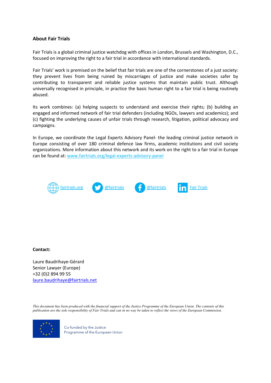# **About Fair Trials**

Fair Trials is a global criminal justice watchdog with offices in London, Brussels and Washington, D.C., focused on improving the right to a fair trial in accordance with international standards.

Fair Trials' work is premised on the belief that fair trials are one of the cornerstones of a just society: they prevent lives from being ruined by miscarriages of justice and make societies safer by contributing to transparent and reliable justice systems that maintain public trust. Although universally recognised in principle, in practice the basic human right to a fair trial is being routinely abused.

Its work combines: (a) helping suspects to understand and exercise their rights; (b) building an engaged and informed network of fair trial defenders (including NGOs, lawyers and academics); and (c) fighting the underlying causes of unfair trials through research, litigation, political advocacy and campaigns.

In Europe, we coordinate the Legal Experts Advisory Panel- the leading criminal justice network in Europe consisting of over 180 criminal defence law firms, academic institutions and civil society organizations. More information about this network and its work on the right to a fair trial in Europe can be found at: [www.fairtrials.org/legal-experts-advisory-panel](https://www.fairtrials.org/legal-experts-advisory-panel)



# **Contact:**

Laure Baudrihaye-Gérard Senior Lawyer (Europe) +32 (0)2 894 99 55 [laure.baudrihaye@fairtrials.net](mailto:laure.baudrihaye@fairtrials.net)

*This document has been produced with the financial support of the Justice Programme of the European Union. The contents of this publication are the sole responsibility of Fair Trials and can in no way be taken to reflect the views of the European Commission.*



Co-funded by the Justice Programme of the European Union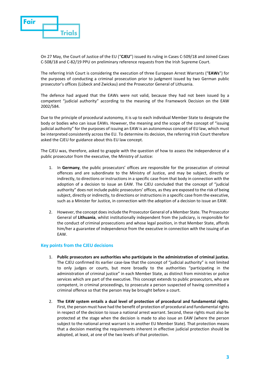

On 27 May, the Court of Justice of the EU ("**CJEU**") issued its ruling in Cases C-509/18 and Joined Cases C-508/18 and C-82/19 PPU on preliminary reference requests from the Irish Supreme Court.

The referring Irish Court is considering the execution of three European Arrest Warrants ("**EAWs**") for the purposes of conducting a criminal prosecution prior to judgment issued by two German public prosecutor's offices (Lübeck and Zwickau) and the Prosecutor General of Lithuania.

The defence had argued that the EAWs were not valid, because they had not been issued by a competent "judicial authority" according to the meaning of the Framework Decision on the EAW 2002/584.

Due to the principle of procedural autonomy, it is up to each individual Member State to designate the body or bodies who can issue EAWs. However, the meaning and the scope of the concept of "issuing judicial authority" for the purposes of issuing an EAW is an autonomous concept of EU law, which must be interpreted consistently across the EU. To determine its decision, the referring Irish Court therefore asked the CJEU for guidance about this EU law concept.

The CJEU was, therefore, asked to grapple with the question of how to assess the independence of a public prosecutor from the executive, the Ministry of Justice:

- 1. In **Germany**, the public prosecutors' offices are responsible for the prosecution of criminal offences and are subordinate to the Ministry of Justice, and may be subject, directly or indirectly, to directions or instructions in a specific case from that body in connection with the adoption of a decision to issue an EAW. The CJEU concluded that the concept of "judicial authority" does not include public prosecutors' offices, as they are exposed to the risk of being subject, directly or indirectly, to directions or instructions in a specific case from the executive, such as a Minister for Justice, in connection with the adoption of a decision to issue an EAW.
- 2. However, the concept does include the Prosecutor General of a Member State. The Prosecutor General of **Lithuania**, whilst institutionally independent from the judiciary, is responsible for the conduct of criminal prosecutions and whose legal position, in that Member State, affords him/her a guarantee of independence from the executive in connection with the issuing of an EAW.

# **Key points from the CJEU decisions**

- 1. **Public prosecutors are authorities who participate in the administration of criminal justice.**  The CJEU confirmed its earlier case-law that the concept of "judicial authority" is not limited to only judges or courts, but more broadly to the authorities "participating in the administration of criminal justice" in each Member State, as distinct from ministries or police services which are part of the executive. This concept extends to public prosecutors, who are competent, in criminal proceedings, to prosecute a person suspected of having committed a criminal offence so that the person may be brought before a court.
- 2. **The EAW system entails a dual level of protection of procedural and fundamental rights**. First, the person must have had the benefit of protection of procedural and fundamental rights in respect of the decision to issue a national arrest warrant. Second, these rights must also be protected at the stage when the decision is made to also issue an EAW (where the person subject to the national arrest warrant is in another EU Member State). That protection means that a decision meeting the requirements inherent in effective judicial protection should be adopted, at least, at one of the two levels of that protection.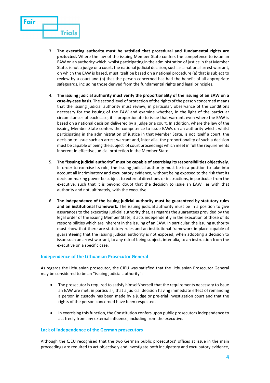

- 3. **The executing authority must be satisfied that procedural and fundamental rights are protected.** Where the law of the issuing Member State confers the competence to issue an EAW on an authority which, whilst participating in the administration of justice in that Member State, is not a judge or a court, the national judicial decision, such as a national arrest warrant, on which the EAW is based, must itself be based on a national procedure (a) that is subject to review by a court and (b) that the person concerned has had the benefit of all appropriate safeguards, including those derived from the fundamental rights and legal principles.
- 4. **The issuing judicial authority must verify the proportionality of the issuing of an EAW on a case-by-case basis**. The second level of protection of the rights of the person concerned means that the issuing judicial authority must review, in particular, observance of the conditions necessary for the issuing of the EAW and examine whether, in the light of the particular circumstances of each case, it is proportionate to issue that warrant, even where the EAW is based on a national decision delivered by a judge or a court. In addition, where the law of the issuing Member State confers the competence to issue EAWs on an authority which, whilst participating in the administration of justice in that Member State, is not itself a court, the decision to issue such an arrest warrant and, inter alia, the proportionality of such a decision must be capable of being the subject of court proceedings which meet in full the requirements inherent in effective judicial protection in the Member State.
- 5. **The "issuing judicial authority" must be capable of exercising its responsibilities objectively.** In order to exercise its role, the issuing judicial authority must be in a position to take into account all incriminatory and exculpatory evidence, without being exposed to the risk that its decision-making power be subject to external directions or instructions, in particular from the executive, such that it is beyond doubt that the decision to issue an EAW lies with that authority and not, ultimately, with the executive.
- 6. **The independence of the issuing judicial authority must be guaranteed by statutory rules and an institutional framework.** The issuing judicial authority must be in a position to give assurances to the executing judicial authority that, as regards the guarantees provided by the legal order of the issuing Member State, it acts independently in the execution of those of its responsibilities which are inherent in the issuing of an EAW. In particular, the issuing authority must show that there are statutory rules and an institutional framework in place capable of guaranteeing that the issuing judicial authority is not exposed, when adopting a decision to issue such an arrest warrant, to any risk of being subject, inter alia, to an instruction from the executive on a specific case.

# **Independence of the Lithuanian Prosecutor General**

As regards the Lithuanian prosecutor, the CJEU was satisfied that the Lithuanian Prosecutor General may be considered to be an "issuing judicial authority":

- The prosecutor is required to satisfy himself/herself that the requirements necessary to issue an EAW are met, in particular, that a judicial decision having immediate effect of remanding a person in custody has been made by a judge or pre-trial investigation court and that the rights of the person concerned have been respected.
- In exercising this function, the Constitution confers upon public prosecutors independence to act freely from any external influence, including from the executive.

# **Lack of independence of the German prosecutors**

Although the CJEU recognised that the two German public prosecutors' offices at issue in the main proceedings are required to act objectively and investigate both inculpatory and exculpatory evidence,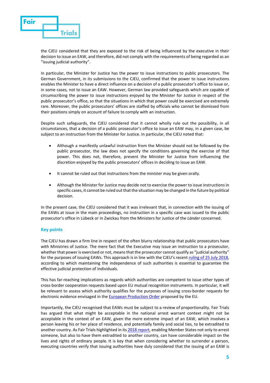

the CJEU considered that they are exposed to the risk of being influenced by the executive in their decision to issue an EAW, and therefore, did not comply with the requirements of being regarded as an "issuing judicial authority".

In particular, the Minister for Justice has the power to issue instructions to public prosecutors. The German Government, in its submissions to the CJEU, confirmed that the power to issue instructions enables the Minister to have a direct influence on a decision of a public prosecutor's office to issue or, in some cases, not to issue an EAW. However, German law provided safeguards which are capable of circumscribing the power to issue instructions enjoyed by the Minister for Justice in respect of the public prosecutor's office, so that the situations in which that power could be exercised are extremely rare. Moreover, the public prosecutors' offices are staffed by officials who cannot be dismissed from their positions simply on account of failure to comply with an instruction.

Despite such safeguards, the CJEU considered that it cannot wholly rule out the possibility, in all circumstances, that a decision of a public prosecutor's office to issue an EAW may, in a given case, be subject to an instruction from the Minister for Justice. In particular, the CJEU noted that:

- Although a manifestly unlawful instruction from the Minister should not be followed by the public prosecutor, the law does not specify the conditions governing the exercise of that power. This does not, therefore, prevent the Minister for Justice from influencing the discretion enjoyed by the public prosecutors' offices in deciding to issue an EAW.
- It cannot be ruled out that instructions from the minister may be given orally.
- Although the Minister for Justice may decide not to exercise the power to issue instructions in specific cases, it cannot be ruled out that the situation may be changed in the future by political decision.

In the present case, the CJEU considered that it was irrelevant that, in connection with the issuing of the EAWs at issue in the main proceedings, no instruction in a specific case was issued to the public prosecutor's office in Lübeck or in Zwickau from the Ministers for Justice of the *Länder* concerned.

# **Key points**

The CJEU has drawn a firm line in respect of the often blurry relationship that public prosecutors have with Ministries of Justice. The mere fact that the Executive may issue an instruction to a prosecutor, whether that power is exercised or not, means that the prosecutor cannot qualify as "judicial authority" for the purposes of issuing EAWs. This approach is in line with the CJEU's recent [ruling of 25 July 2018,](http://curia.europa.eu/juris/document/document.jsf?text=&docid=204384&pageIndex=0&doclang=EN&mode=lst&dir=&occ=first&part=1&cid=6372258)  according to which maintaining the independence of such authorities is essential to guarantee the effective judicial protection of individuals.

This has far-reaching implications as regards which authorities are competent to issue other types of cross-border cooperation requests based upon EU mutual recognition instruments. In particular, it will be relevant to assess which authority qualifies for the purposes of issuing cross-border requests for electronic evidence envisaged in the **European Production Order** proposed by the EU.

Importantly, the CJEU recognised that EAWs must be subject to a review of proportionality. Fair Trials has argued that what might be acceptable in the national arrest warrant context might not be acceptable in the context of an EAW, given the more extreme impact of an EAW, which involves a person leaving his or her place of residence, and potentially family and social ties, to be extradited to another country. As Fair Trials highlighted in it[s 2018 report,](https://www.fairtrials.org/publication/beyond-surrender) enabling Member States not only to arrest someone, but also to have them extradited to another country, can have considerable impact on the lives and rights of ordinary people. It is key that when considering whether to surrender a person, executing countries verify that issuing authorities have duly considered that the issuing of an EAW is